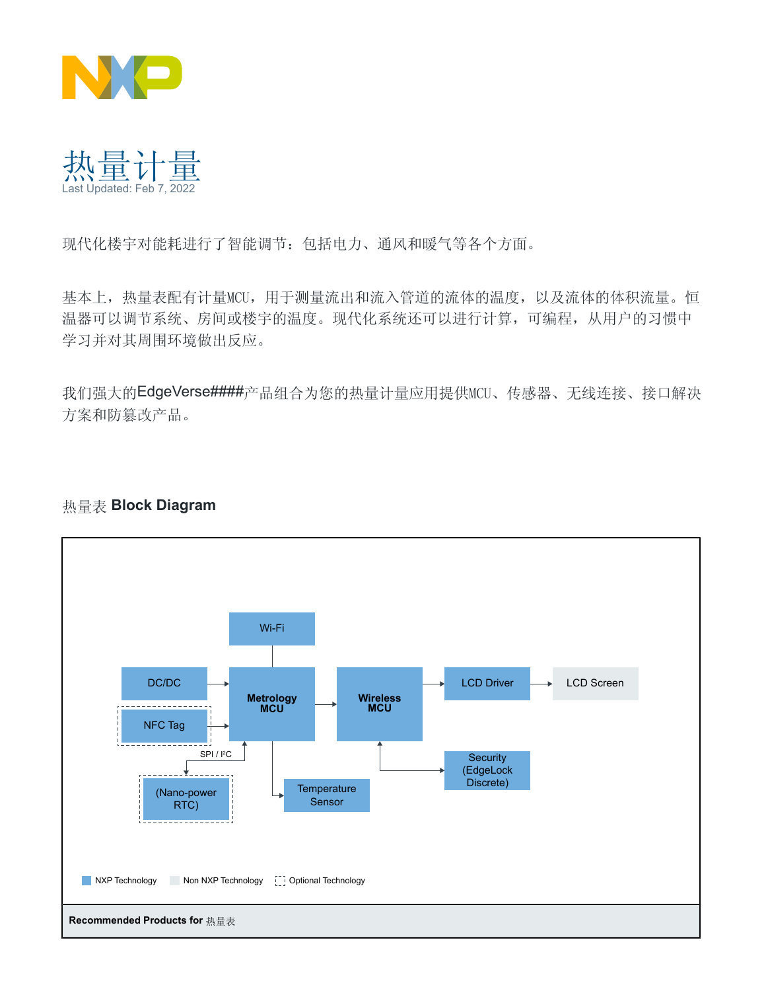

热量计量 Last Updated: Feb 7, 2022

现代化楼宇对能耗进行了智能调节:包括电力、通风和暖气等各个方面。

基本上,热量表配有计量MCU,用于测量流出和流入管道的流体的温度,以及流体的体积流量。恒 温器可以调节系统、房间或楼宇的温度。现代化系统还可以进行计算,可编程,从用户的习惯中 学习并对其周围环境做出反应。

我们强大的EdgeVers[e####](https://www.nxp.com.cn/applications/enabling-technologies/edge-computing:EDGE-COMPUTING)产品组合为您的热量计量应用提供MCU、传感器、无线连接、接口解决 方案和防篡改产品。

## 热量表 **Block Diagram**